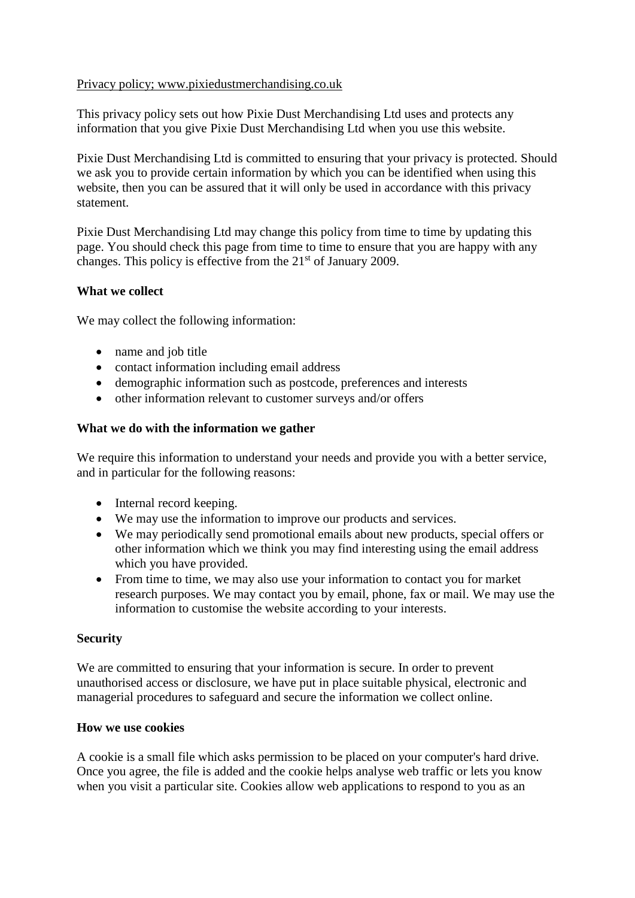## Privacy policy; www.pixiedustmerchandising.co.uk

This privacy policy sets out how Pixie Dust Merchandising Ltd uses and protects any information that you give Pixie Dust Merchandising Ltd when you use this website.

Pixie Dust Merchandising Ltd is committed to ensuring that your privacy is protected. Should we ask you to provide certain information by which you can be identified when using this website, then you can be assured that it will only be used in accordance with this privacy statement.

Pixie Dust Merchandising Ltd may change this policy from time to time by updating this page. You should check this page from time to time to ensure that you are happy with any changes. This policy is effective from the 21<sup>st</sup> of January 2009.

### **What we collect**

We may collect the following information:

- name and job title
- contact information including email address
- demographic information such as postcode, preferences and interests
- other information relevant to customer surveys and/or offers

### **What we do with the information we gather**

We require this information to understand your needs and provide you with a better service, and in particular for the following reasons:

- Internal record keeping.
- We may use the information to improve our products and services.
- We may periodically send promotional emails about new products, special offers or other information which we think you may find interesting using the email address which you have provided.
- From time to time, we may also use your information to contact you for market research purposes. We may contact you by email, phone, fax or mail. We may use the information to customise the website according to your interests.

### **Security**

We are committed to ensuring that your information is secure. In order to prevent unauthorised access or disclosure, we have put in place suitable physical, electronic and managerial procedures to safeguard and secure the information we collect online.

### **How we use cookies**

A cookie is a small file which asks permission to be placed on your computer's hard drive. Once you agree, the file is added and the cookie helps analyse web traffic or lets you know when you visit a particular site. Cookies allow web applications to respond to you as an